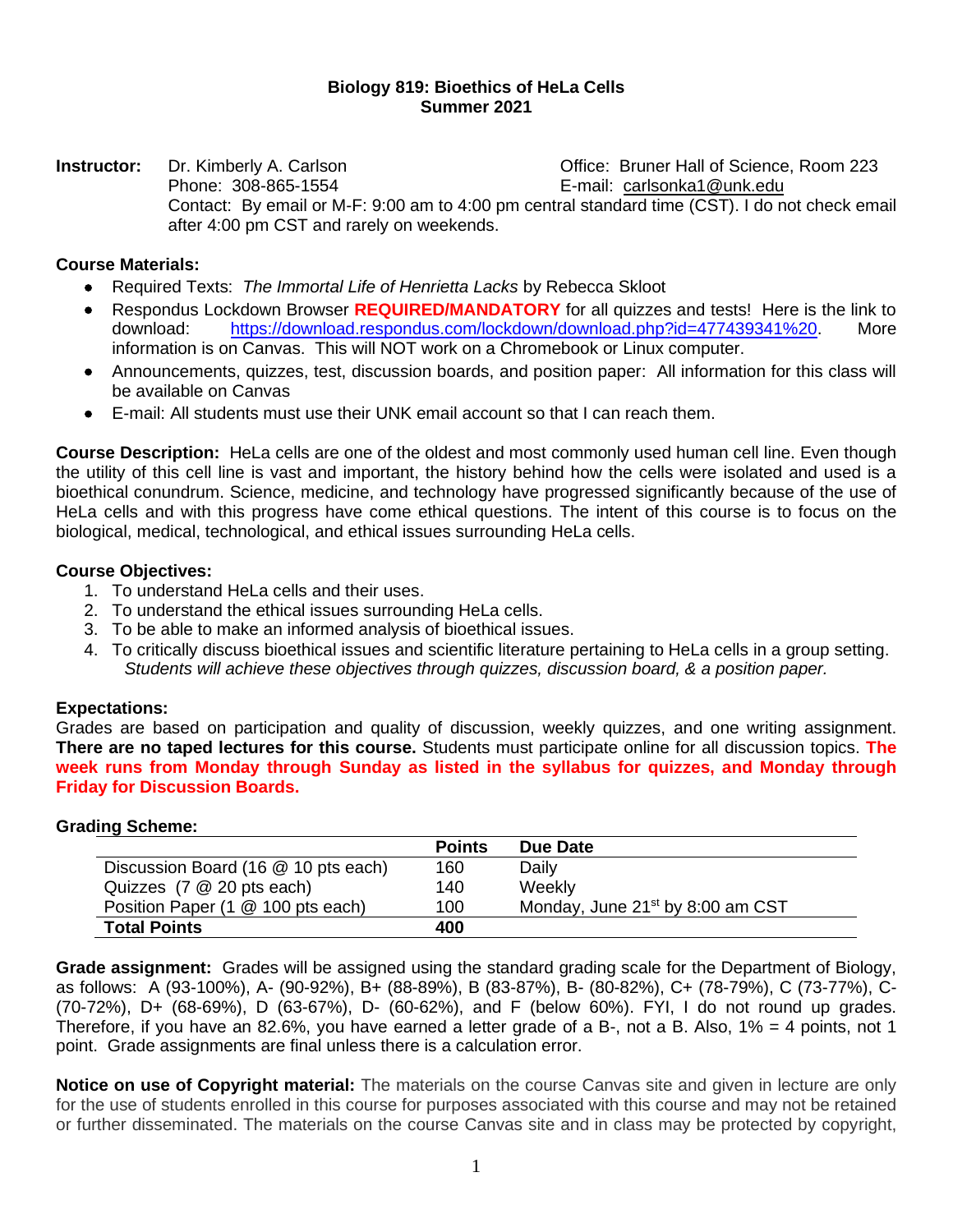# **Biology 819: Bioethics of HeLa Cells Summer 2021**

**Instructor:** Dr. Kimberly A. Carlson **Dr. And Carlson** Office: Bruner Hall of Science, Room 223 Phone: 308-865-1554 E-mail: [carlsonka1@unk.edu](mailto:carlsonka1@unk.edu) Contact: By email or M-F: 9:00 am to 4:00 pm central standard time (CST). I do not check email after 4:00 pm CST and rarely on weekends.

# **Course Materials:**

- Required Texts: *The Immortal Life of Henrietta Lacks* by Rebecca Skloot
- Respondus Lockdown Browser **REQUIRED/MANDATORY** for all quizzes and tests! Here is the link to download: [https://download.respondus.com/lockdown/download.php?id=477439341%20.](https://download.respondus.com/lockdown/download.php?id=477439341%20) More information is on Canvas. This will NOT work on a Chromebook or Linux computer.
- Announcements, quizzes, test, discussion boards, and position paper: All information for this class will be available on Canvas
- E-mail: All students must use their UNK email account so that I can reach them.

**Course Description:** HeLa cells are one of the oldest and most commonly used human cell line. Even though the utility of this cell line is vast and important, the history behind how the cells were isolated and used is a bioethical conundrum. Science, medicine, and technology have progressed significantly because of the use of HeLa cells and with this progress have come ethical questions. The intent of this course is to focus on the biological, medical, technological, and ethical issues surrounding HeLa cells.

# **Course Objectives:**

- 1. To understand HeLa cells and their uses.
- 2. To understand the ethical issues surrounding HeLa cells.
- 3. To be able to make an informed analysis of bioethical issues.
- 4. To critically discuss bioethical issues and scientific literature pertaining to HeLa cells in a group setting. *Students will achieve these objectives through quizzes, discussion board, & a position paper.*

### **Expectations:**

Grades are based on participation and quality of discussion, weekly quizzes, and one writing assignment. **There are no taped lectures for this course.** Students must participate online for all discussion topics. **The week runs from Monday through Sunday as listed in the syllabus for quizzes, and Monday through Friday for Discussion Boards.** 

### **Grading Scheme:**

|                                     | <b>Points</b> | Due Date                                     |
|-------------------------------------|---------------|----------------------------------------------|
| Discussion Board (16 @ 10 pts each) | 160           | Daily                                        |
| Quizzes (7 @ 20 pts each)           | 140           | Weekly                                       |
| Position Paper (1 @ 100 pts each)   | 100           | Monday, June 21 <sup>st</sup> by 8:00 am CST |
| <b>Total Points</b>                 | 400           |                                              |

**Grade assignment:** Grades will be assigned using the standard grading scale for the Department of Biology, as follows: A (93-100%), A- (90-92%), B+ (88-89%), B (83-87%), B- (80-82%), C+ (78-79%), C (73-77%), C- (70-72%), D+ (68-69%), D (63-67%), D- (60-62%), and F (below 60%). FYI, I do not round up grades. Therefore, if you have an 82.6%, you have earned a letter grade of a B-, not a B. Also, 1% = 4 points, not 1 point. Grade assignments are final unless there is a calculation error.

**Notice on use of Copyright material:** The materials on the course Canvas site and given in lecture are only for the use of students enrolled in this course for purposes associated with this course and may not be retained or further disseminated. The materials on the course Canvas site and in class may be protected by copyright,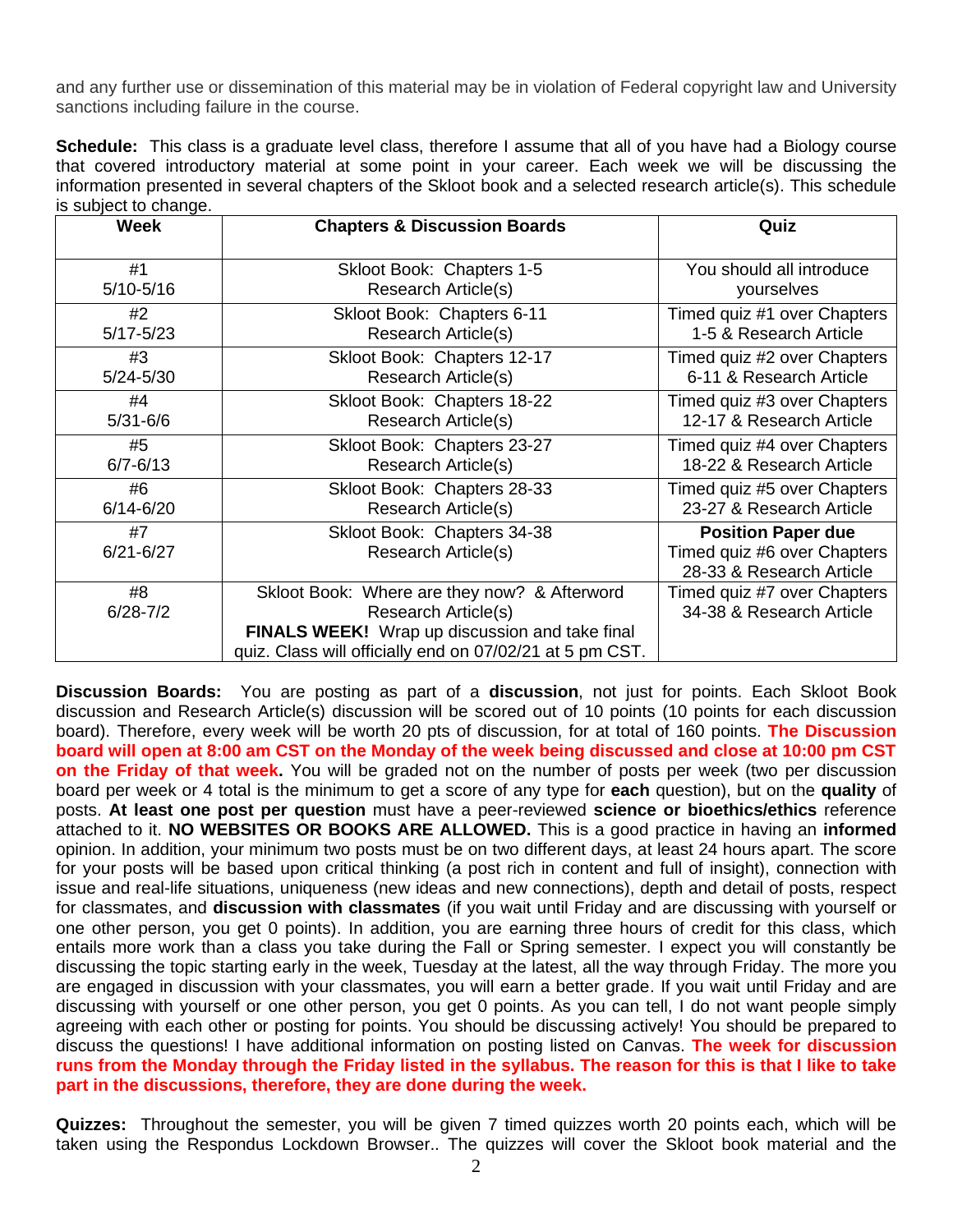and any further use or dissemination of this material may be in violation of Federal copyright law and University sanctions including failure in the course.

**Schedule:** This class is a graduate level class, therefore I assume that all of you have had a Biology course that covered introductory material at some point in your career. Each week we will be discussing the information presented in several chapters of the Skloot book and a selected research article(s). This schedule is subject to change.

| <b>Week</b>         | <b>Chapters &amp; Discussion Boards</b>                                                                                                                                           | Quiz                                                                                 |
|---------------------|-----------------------------------------------------------------------------------------------------------------------------------------------------------------------------------|--------------------------------------------------------------------------------------|
| #1                  | Skloot Book: Chapters 1-5                                                                                                                                                         | You should all introduce                                                             |
| $5/10 - 5/16$       | Research Article(s)                                                                                                                                                               | yourselves                                                                           |
| #2                  | Skloot Book: Chapters 6-11                                                                                                                                                        | Timed quiz #1 over Chapters                                                          |
| $5/17 - 5/23$       | Research Article(s)                                                                                                                                                               | 1-5 & Research Article                                                               |
| #3                  | Skloot Book: Chapters 12-17                                                                                                                                                       | Timed quiz #2 over Chapters                                                          |
| $5/24 - 5/30$       | Research Article(s)                                                                                                                                                               | 6-11 & Research Article                                                              |
| #4                  | Skloot Book: Chapters 18-22                                                                                                                                                       | Timed quiz #3 over Chapters                                                          |
| $5/31 - 6/6$        | Research Article(s)                                                                                                                                                               | 12-17 & Research Article                                                             |
| #5                  | Skloot Book: Chapters 23-27                                                                                                                                                       | Timed quiz #4 over Chapters                                                          |
| $6/7 - 6/13$        | Research Article(s)                                                                                                                                                               | 18-22 & Research Article                                                             |
| #6                  | Skloot Book: Chapters 28-33                                                                                                                                                       | Timed quiz #5 over Chapters                                                          |
| $6/14 - 6/20$       | Research Article(s)                                                                                                                                                               | 23-27 & Research Article                                                             |
| #7<br>$6/21 - 6/27$ | Skloot Book: Chapters 34-38<br>Research Article(s)                                                                                                                                | <b>Position Paper due</b><br>Timed quiz #6 over Chapters<br>28-33 & Research Article |
| #8<br>$6/28 - 7/2$  | Skloot Book: Where are they now? & Afterword<br>Research Article(s)<br>FINALS WEEK! Wrap up discussion and take final<br>quiz. Class will officially end on 07/02/21 at 5 pm CST. | Timed quiz #7 over Chapters<br>34-38 & Research Article                              |

**Discussion Boards:** You are posting as part of a **discussion**, not just for points. Each Skloot Book discussion and Research Article(s) discussion will be scored out of 10 points (10 points for each discussion board). Therefore, every week will be worth 20 pts of discussion, for at total of 160 points. **The Discussion board will open at 8:00 am CST on the Monday of the week being discussed and close at 10:00 pm CST on the Friday of that week.** You will be graded not on the number of posts per week (two per discussion board per week or 4 total is the minimum to get a score of any type for **each** question), but on the **quality** of posts. **At least one post per question** must have a peer-reviewed **science or bioethics/ethics** reference attached to it. **NO WEBSITES OR BOOKS ARE ALLOWED.** This is a good practice in having an **informed** opinion. In addition, your minimum two posts must be on two different days, at least 24 hours apart. The score for your posts will be based upon critical thinking (a post rich in content and full of insight), connection with issue and real-life situations, uniqueness (new ideas and new connections), depth and detail of posts, respect for classmates, and **discussion with classmates** (if you wait until Friday and are discussing with yourself or one other person, you get 0 points). In addition, you are earning three hours of credit for this class, which entails more work than a class you take during the Fall or Spring semester. I expect you will constantly be discussing the topic starting early in the week, Tuesday at the latest, all the way through Friday. The more you are engaged in discussion with your classmates, you will earn a better grade. If you wait until Friday and are discussing with yourself or one other person, you get 0 points. As you can tell, I do not want people simply agreeing with each other or posting for points. You should be discussing actively! You should be prepared to discuss the questions! I have additional information on posting listed on Canvas. **The week for discussion runs from the Monday through the Friday listed in the syllabus. The reason for this is that I like to take part in the discussions, therefore, they are done during the week.**

**Quizzes:** Throughout the semester, you will be given 7 timed quizzes worth 20 points each, which will be taken using the Respondus Lockdown Browser.. The quizzes will cover the Skloot book material and the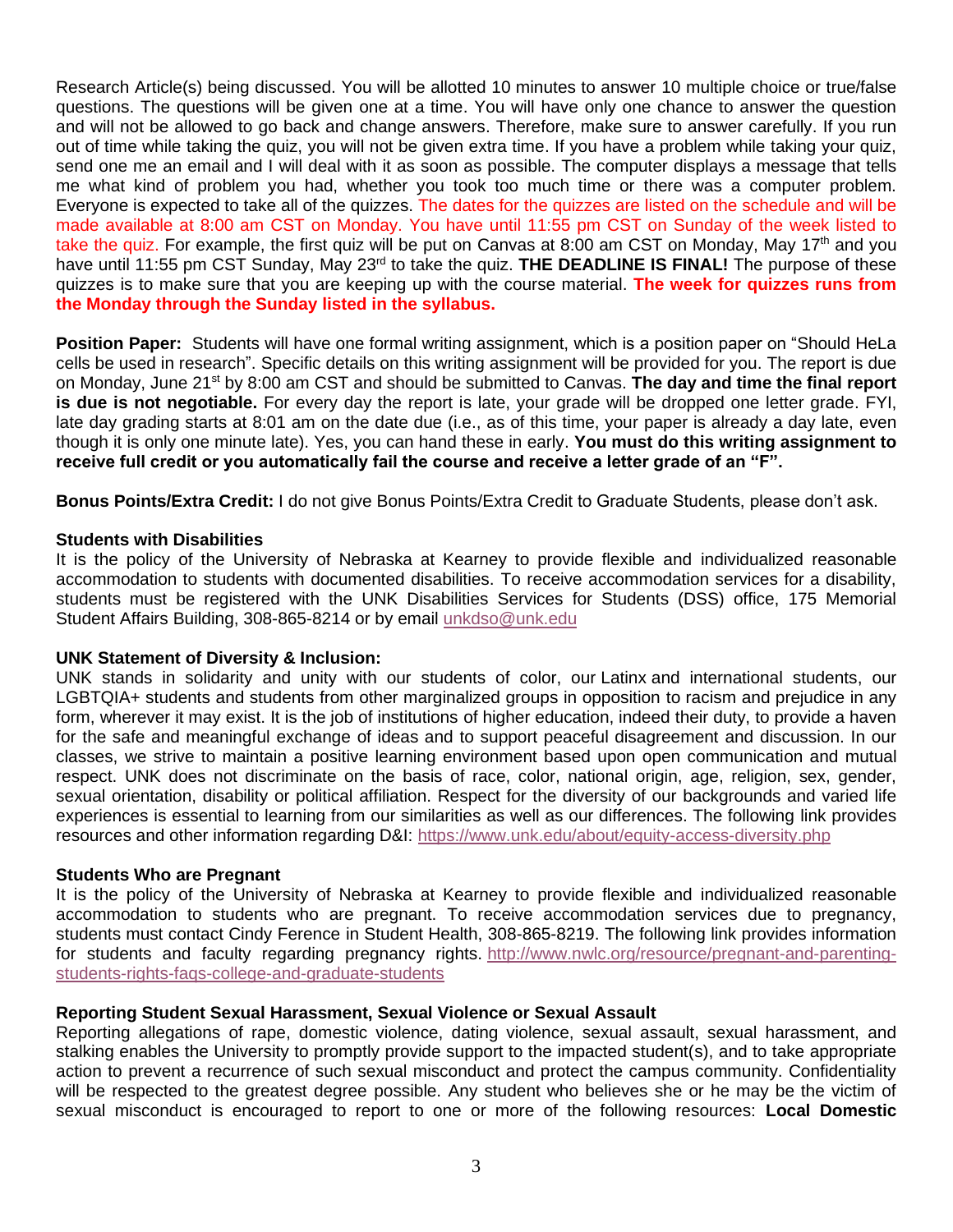Research Article(s) being discussed. You will be allotted 10 minutes to answer 10 multiple choice or true/false questions. The questions will be given one at a time. You will have only one chance to answer the question and will not be allowed to go back and change answers. Therefore, make sure to answer carefully. If you run out of time while taking the quiz, you will not be given extra time. If you have a problem while taking your quiz, send one me an email and I will deal with it as soon as possible. The computer displays a message that tells me what kind of problem you had, whether you took too much time or there was a computer problem. Everyone is expected to take all of the quizzes. The dates for the quizzes are listed on the schedule and will be made available at 8:00 am CST on Monday. You have until 11:55 pm CST on Sunday of the week listed to take the quiz. For example, the first quiz will be put on Canvas at 8:00 am CST on Monday, May 17<sup>th</sup> and you have until 11:55 pm CST Sunday, May 23<sup>rd</sup> to take the quiz. **THE DEADLINE IS FINAL!** The purpose of these quizzes is to make sure that you are keeping up with the course material. **The week for quizzes runs from the Monday through the Sunday listed in the syllabus.** 

**Position Paper:** Students will have one formal writing assignment, which is a position paper on "Should HeLa cells be used in research". Specific details on this writing assignment will be provided for you. The report is due on Monday, June 21st by 8:00 am CST and should be submitted to Canvas. **The day and time the final report is due is not negotiable.** For every day the report is late, your grade will be dropped one letter grade. FYI, late day grading starts at 8:01 am on the date due (i.e., as of this time, your paper is already a day late, even though it is only one minute late). Yes, you can hand these in early. **You must do this writing assignment to receive full credit or you automatically fail the course and receive a letter grade of an "F".**

**Bonus Points/Extra Credit:** I do not give Bonus Points/Extra Credit to Graduate Students, please don't ask.

### **Students with Disabilities**

It is the policy of the University of Nebraska at Kearney to provide flexible and individualized reasonable accommodation to students with documented disabilities. To receive accommodation services for a disability, students must be registered with the UNK Disabilities Services for Students (DSS) office, 175 Memorial Student Affairs Building, 308-865-8214 or by email [unkdso@unk.edu](mailto:unkdso@unk.edu)

### **UNK Statement of Diversity & Inclusion:**

UNK stands in solidarity and unity with our students of color, our Latinx and international students, our LGBTQIA+ students and students from other marginalized groups in opposition to racism and prejudice in any form, wherever it may exist. It is the job of institutions of higher education, indeed their duty, to provide a haven for the safe and meaningful exchange of ideas and to support peaceful disagreement and discussion. In our classes, we strive to maintain a positive learning environment based upon open communication and mutual respect. UNK does not discriminate on the basis of race, color, national origin, age, religion, sex, gender, sexual orientation, disability or political affiliation. Respect for the diversity of our backgrounds and varied life experiences is essential to learning from our similarities as well as our differences. The following link provides resources and other information regarding D&I: <https://www.unk.edu/about/equity-access-diversity.php>

### **Students Who are Pregnant**

It is the policy of the University of Nebraska at Kearney to provide flexible and individualized reasonable accommodation to students who are pregnant. To receive accommodation services due to pregnancy, students must contact Cindy Ference in Student Health, 308-865-8219. The following link provides information for students and faculty regarding pregnancy rights. [http://www.nwlc.org/resource/pregnant-and-parenting](https://urldefense.proofpoint.com/v2/url?u=http-3A__www.nwlc.org_resource_pregnant-2Dand-2Dparenting-2Dstudents-2Drights-2Dfaqs-2Dcollege-2Dand-2Dgraduate-2Dstudents&d=DwMFAg&c=Cu5g146wZdoqVuKpTNsYHeFX_rg6kWhlkLF8Eft-wwo&r=BJkIhAaMtWY7PlqIhIOyVw&m=RgBL3s2VNHfvD5ReMK2q_PhwYU8dbEt1vxs1BO4WkpQ&s=MmB91XAzaW-E7UPMXPGx9tWJQbTWJYyYzM8gLjhEzQ0&e=)[students-rights-faqs-college-and-graduate-students](https://urldefense.proofpoint.com/v2/url?u=http-3A__www.nwlc.org_resource_pregnant-2Dand-2Dparenting-2Dstudents-2Drights-2Dfaqs-2Dcollege-2Dand-2Dgraduate-2Dstudents&d=DwMFAg&c=Cu5g146wZdoqVuKpTNsYHeFX_rg6kWhlkLF8Eft-wwo&r=BJkIhAaMtWY7PlqIhIOyVw&m=RgBL3s2VNHfvD5ReMK2q_PhwYU8dbEt1vxs1BO4WkpQ&s=MmB91XAzaW-E7UPMXPGx9tWJQbTWJYyYzM8gLjhEzQ0&e=)

### **Reporting Student Sexual Harassment, Sexual Violence or Sexual Assault**

Reporting allegations of rape, domestic violence, dating violence, sexual assault, sexual harassment, and stalking enables the University to promptly provide support to the impacted student(s), and to take appropriate action to prevent a recurrence of such sexual misconduct and protect the campus community. Confidentiality will be respected to the greatest degree possible. Any student who believes she or he may be the victim of sexual misconduct is encouraged to report to one or more of the following resources: **Local Domestic**